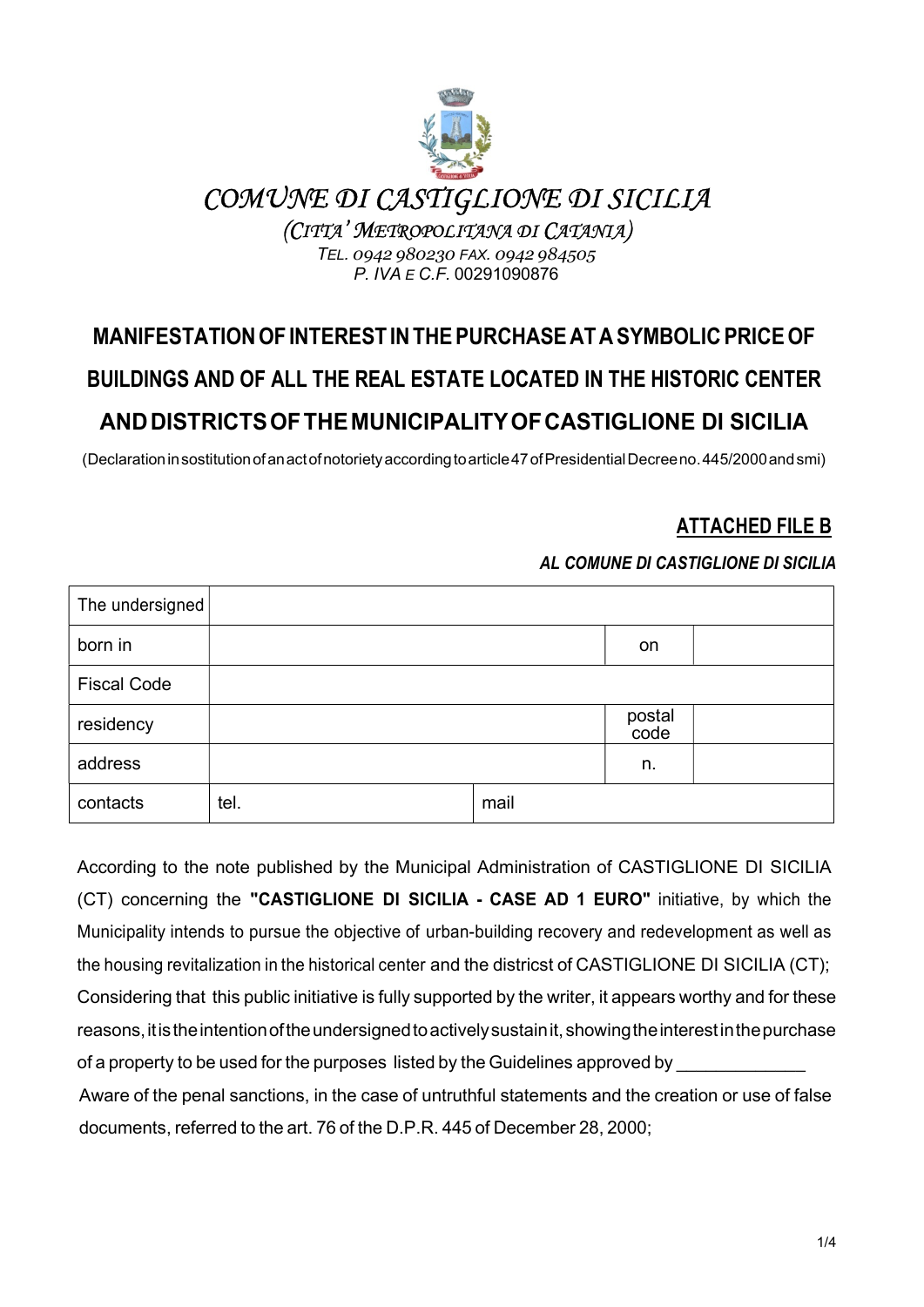

## COMUNE DI CASTIGLIONE DI SICILIA

(CITTA' METROPOLITANA DI CATANIA)

TEL. 0942 980230 FAX. 0942 984505 P. IVA E C.F. 00291090876

# MANIFESTATION OF INTEREST IN THE PURCHASE AT A SYMBOLIC PRICE OF BUILDINGS AND OF ALL THE REAL ESTATE LOCATED IN THE HISTORIC CENTER AND DISTRICTS OF THE MUNICIPALITY OF CASTIGLIONE DI SICILIA

(Declaration in sostitution of an act of notoriety according to article 47 of Presidential Decree no. 445/2000 and smi)

## ATTACHED FILE B

#### AL COMUNE DI CASTIGLIONE DI SICILIA

| The undersigned    |      |      |                |  |
|--------------------|------|------|----------------|--|
| born in            |      |      | on             |  |
| <b>Fiscal Code</b> |      |      |                |  |
| residency          |      |      | postal<br>code |  |
| address            |      |      | n.             |  |
| contacts           | tel. | mail |                |  |

According to the note published by the Municipal Administration of CASTIGLIONE DI SICILIA (CT) concerning the "CASTIGLIONE DI SICILIA - CASE AD 1 EURO" initiative, by which the Municipality intends to pursue the objective of urban-building recovery and redevelopment as well as the housing revitalization in the historical center and the districst of CASTIGLIONE DI SICILIA (CT); Considering that this public initiative is fully supported by the writer, it appears worthy and for these reasons, it is the intention of the undersigned to actively sustain it, showing the interest in the purchase of a property to be used for the purposes listed by the Guidelines approved by Aware of the penal sanctions, in the case of untruthful statements and the creation or use of false documents, referred to the art. 76 of the D.P.R. 445 of December 28, 2000;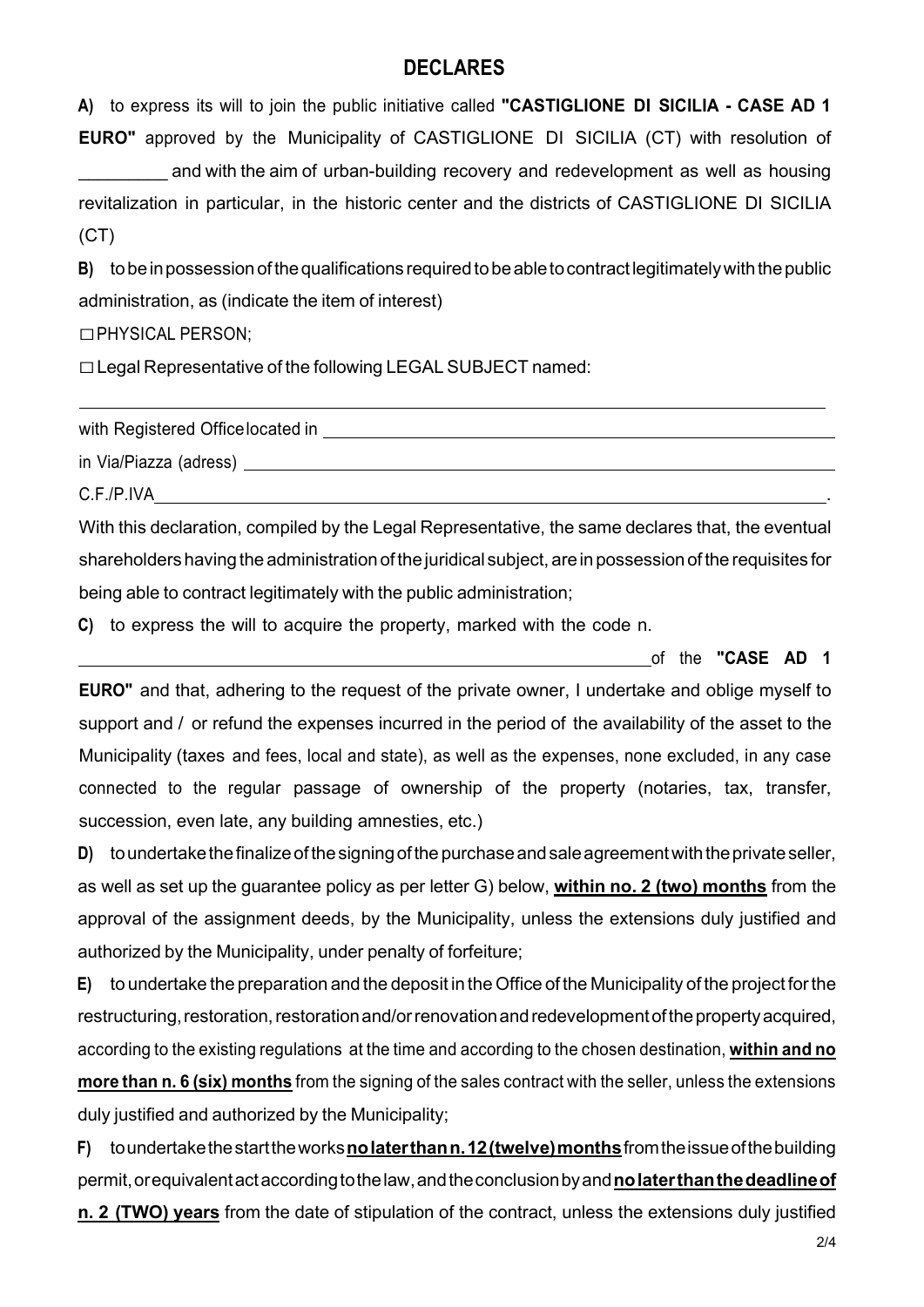### **DECLARES**

A) to express its will to join the public initiative called "CASTIGLIONE DI SICILIA - CASE AD 1 EURO" approved by the Municipality of CASTIGLIONE DI SICILIA (CT) with resolution of and with the aim of urban-building recovery and redevelopment as well as housing revitalization in particular, in the historic center and the districts of CASTIGLIONE DI SICILIA  $(CT)$ 

B) to be in possession of the qualifications required to be able to contract legitimately with the public administration, as (indicate the item of interest)

☐PHYSICAL PERSON;

☐Legal Representative of the following LEGAL SUBJECT named:

with Registered Office located in

in Via/Piazza (adress)

 $C.F.P.IVA$ 

With this declaration, compiled by the Legal Representative, the same declares that, the eventual shareholders having the administration of the juridical subject, are in possession of the requisites for being able to contract legitimately with the public administration;

C) to express the will to acquire the property, marked with the code n.

of the "CASE AD 1

EURO" and that, adhering to the request of the private owner, I undertake and oblige myself to support and / or refund the expenses incurred in the period of the availability of the asset to the Municipality (taxes and fees, local and state), as well as the expenses, none excluded, in any case connected to the regular passage of ownership of the property (notaries, tax, transfer, succession, even late, any building amnesties, etc.)

D) to undertake the finalize of the signing of the purchase and sale agreement with the private seller, as well as set up the guarantee policy as per letter G) below, within no. 2 (two) months from the approval of the assignment deeds, by the Municipality, unless the extensions duly justified and authorized by the Municipality, under penalty of forfeiture;

E) to undertake the preparation and the deposit in the Office of the Municipality of the project for the restructuring, restoration, restoration and/or renovation and redevelopment of the property acquired, according to the existing regulations at the time and according to the chosen destination, within and no more than n. 6 (six) months from the signing of the sales contract with the seller, unless the extensions duly justified and authorized by the Municipality;

F) to undertake the start the works no later than n. 12 (twelve) months from the issue of the building permit, or equivalent act according to the law, and the conclusion by and no later than the deadline of n. 2 (TWO) years from the date of stipulation of the contract, unless the extensions duly justified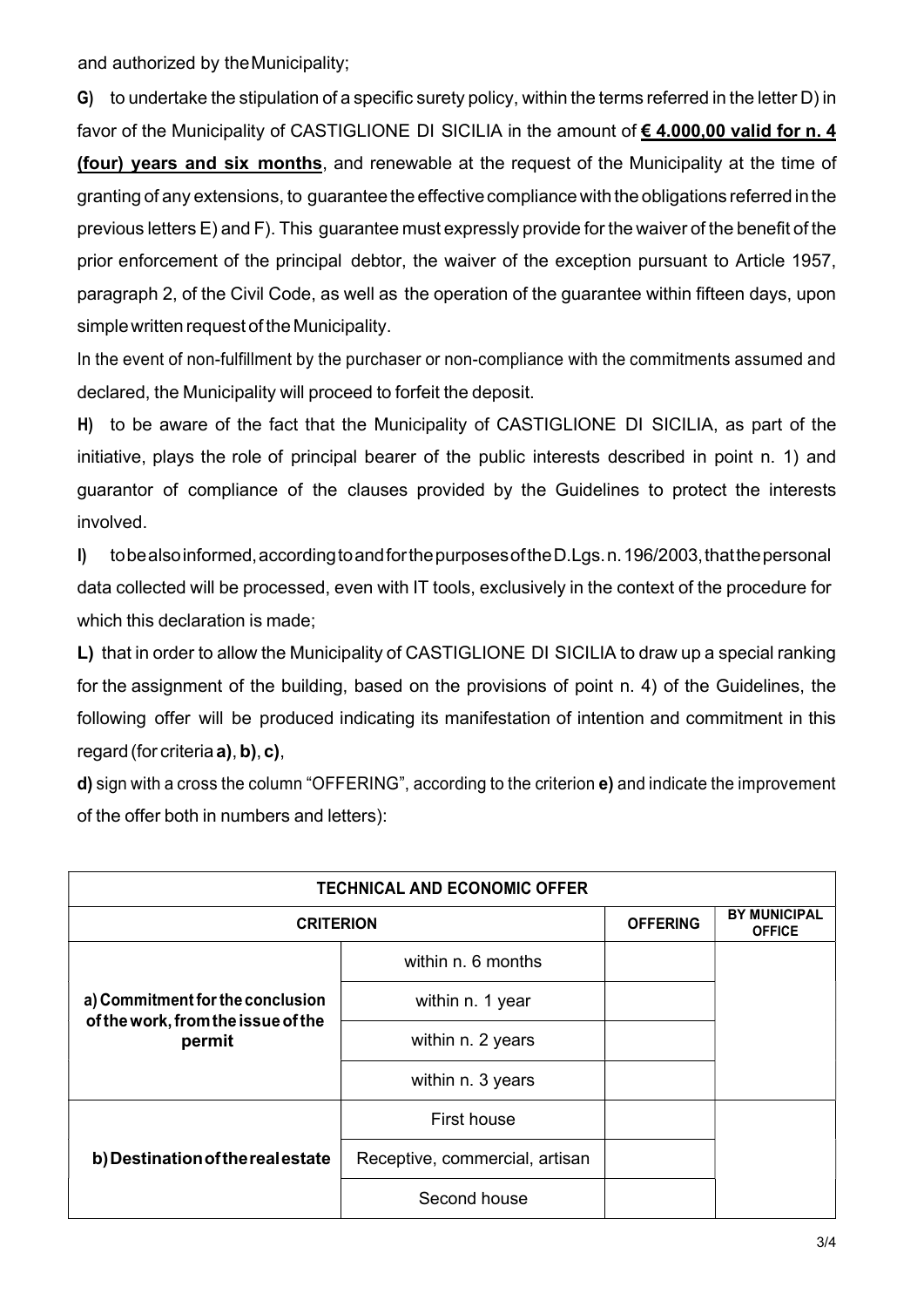and authorized by the Municipality;

G) to undertake the stipulation of a specific surety policy, within the terms referred in the letter D) in favor of the Municipality of CASTIGLIONE DI SICILIA in the amount of € 4.000,00 valid for n. 4 (four) years and six months, and renewable at the request of the Municipality at the time of granting of any extensions, to guarantee the effective compliance with the obligations referred in the previous letters E) and F). This guarantee must expressly provide for the waiver of the benefit of the prior enforcement of the principal debtor, the waiver of the exception pursuant to Article 1957, paragraph 2, of the Civil Code, as well as the operation of the guarantee within fifteen days, upon simple written request of the Municipality.

In the event of non-fulfillment by the purchaser or non-compliance with the commitments assumed and declared, the Municipality will proceed to forfeit the deposit.

H) to be aware of the fact that the Municipality of CASTIGLIONE DI SICILIA, as part of the initiative, plays the role of principal bearer of the public interests described in point n. 1) and guarantor of compliance of the clauses provided by the Guidelines to protect the interests involved.

I) to be also informed, according to and for the purposes of the D.Lgs. n. 196/2003, that the personal data collected will be processed, even with IT tools, exclusively in the context of the procedure for which this declaration is made;

L) that in order to allow the Municipality of CASTIGLIONE DI SICILIA to draw up a special ranking for the assignment of the building, based on the provisions of point n. 4) of the Guidelines, the following offer will be produced indicating its manifestation of intention and commitment in this regard (for criteria a), b), c),

d) sign with a cross the column "OFFERING", according to the criterion e) and indicate the improvement of the offer both in numbers and letters):

|                                              | <b>TECHNICAL AND ECONOMIC OFFER</b> |                 |                                      |
|----------------------------------------------|-------------------------------------|-----------------|--------------------------------------|
| <b>CRITERION</b>                             |                                     | <b>OFFERING</b> | <b>BY MUNICIPAL</b><br><b>OFFICE</b> |
| a) Commitment for the conclusion             | within n. 6 months                  |                 |                                      |
|                                              | within n. 1 year                    |                 |                                      |
| of the work, from the issue of the<br>permit | within n. 2 years                   |                 |                                      |
|                                              | within n. 3 years                   |                 |                                      |
|                                              | First house                         |                 |                                      |
| b) Destination of the real estate            | Receptive, commercial, artisan      |                 |                                      |
|                                              | Second house                        |                 |                                      |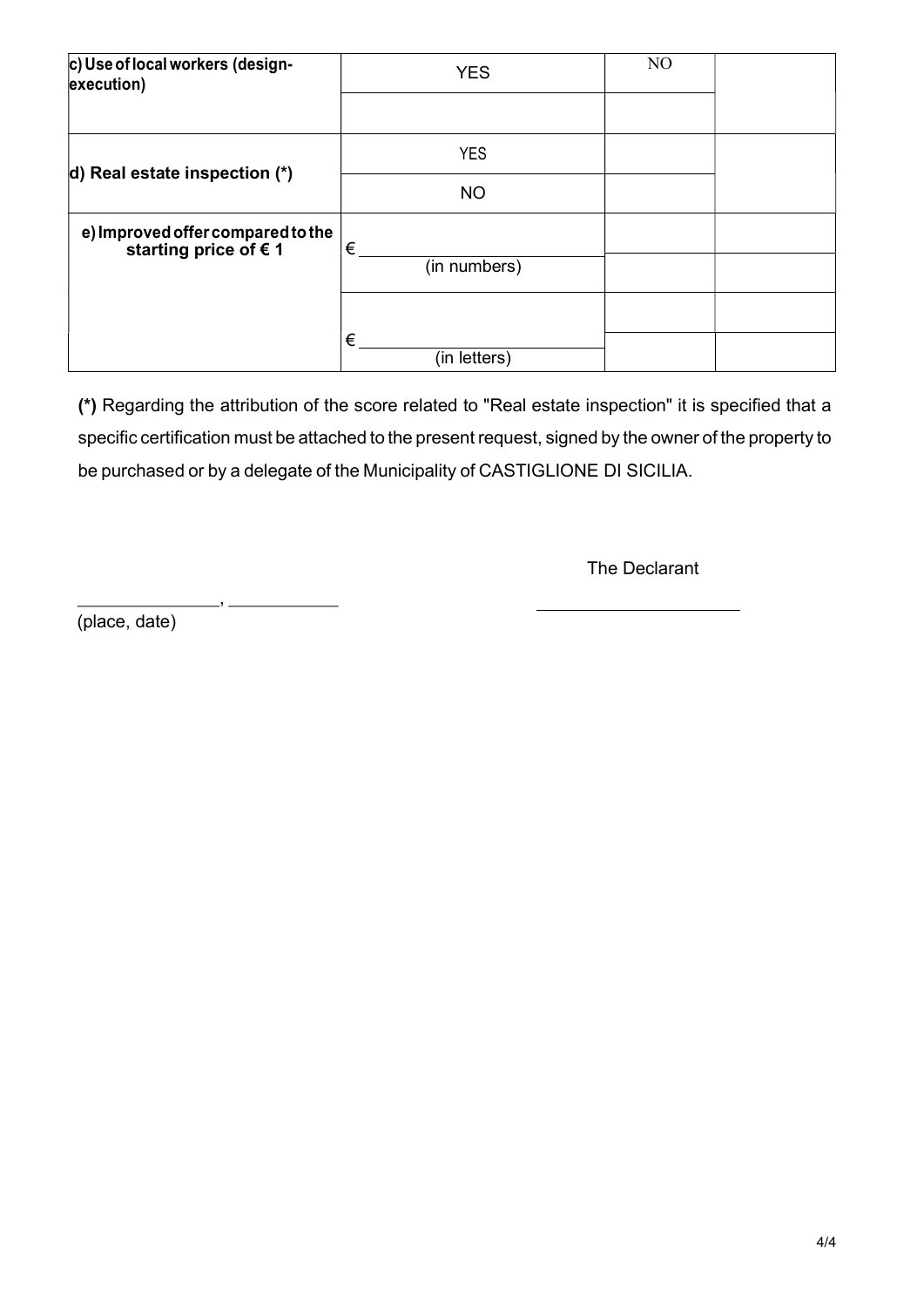| c) Use of local workers (design-<br>execution)                      | <b>YES</b>        | N <sub>O</sub> |  |  |
|---------------------------------------------------------------------|-------------------|----------------|--|--|
|                                                                     |                   |                |  |  |
| d) Real estate inspection $(*)$                                     | <b>YES</b>        |                |  |  |
|                                                                     | <b>NO</b>         |                |  |  |
| e) Improved offer compared to the<br>starting price of $\epsilon$ 1 | €                 |                |  |  |
|                                                                     | (in numbers)      |                |  |  |
|                                                                     |                   |                |  |  |
|                                                                     | €<br>(in letters) |                |  |  |

(\*) Regarding the attribution of the score related to "Real estate inspection" it is specified that a specific certification must be attached to the present request, signed by the owner of the property to be purchased or by a delegate of the Municipality of CASTIGLIONE DI SICILIA.

The Declarant

(place, date)

,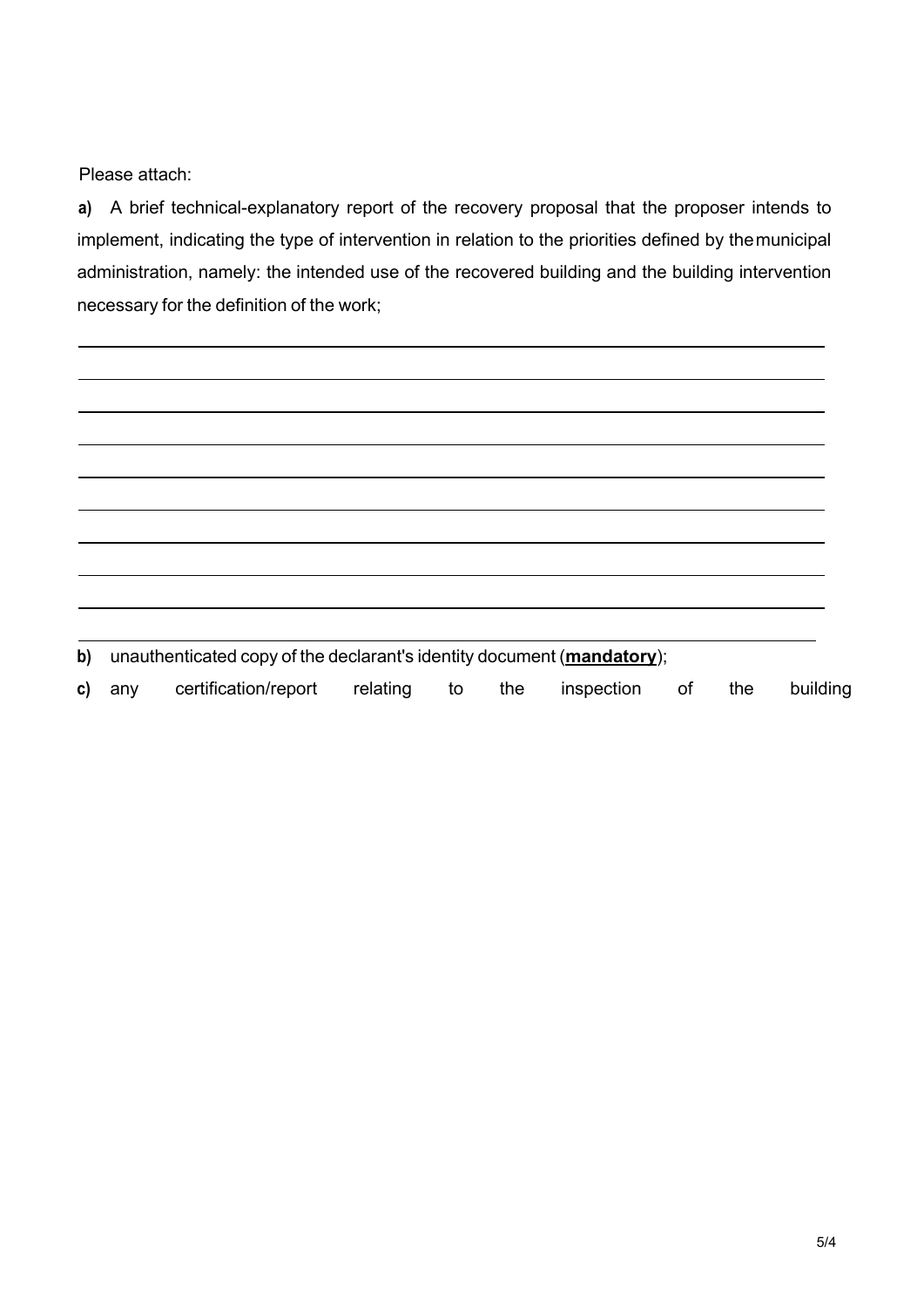Please attach:

a) A brief technical-explanatory report of the recovery proposal that the proposer intends to implement, indicating the type of intervention in relation to the priorities defined by the municipal administration, namely: the intended use of the recovered building and the building intervention necessary for the definition of the work;

b) unauthenticated copy of the declarant's identity document (mandatory);

c) any certification/report relating to the inspection of the building